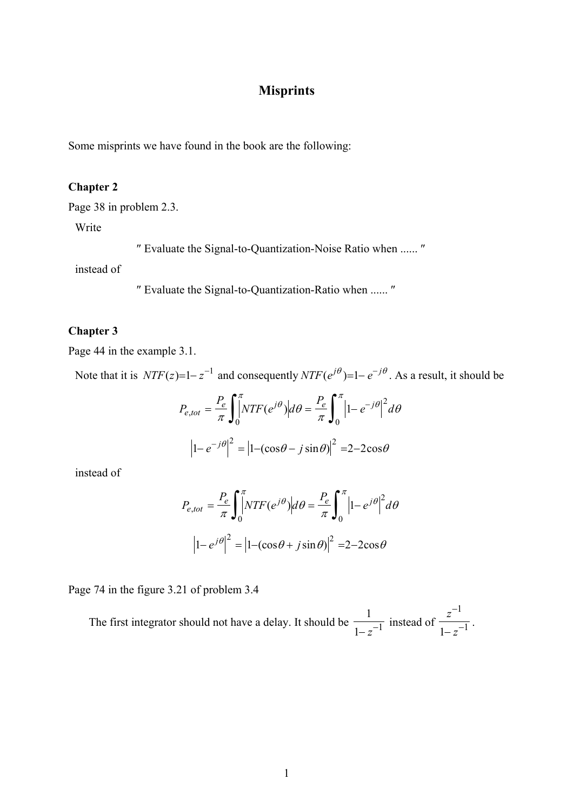# **Misprints**

Some misprints we have found in the book are the following:

#### **Chapter 2**

Page 38 in problem 2.3.

Write

″ Evaluate the Signal-to-Quantization-Noise Ratio when ...... ″

instead of

″ Evaluate the Signal-to-Quantization-Ratio when ...... ″

#### **Chapter 3**

Page 44 in the example 3.1.

Note that it is  $NTF(z)=1-z^{-1}$  and consequently  $NTF(e^{j\theta})=1-e^{-j\theta}$ . As a result, it should be

$$
P_{e, tot} = \frac{P_e}{\pi} \int_0^{\pi} |NTF(e^{j\theta})| d\theta = \frac{P_e}{\pi} \int_0^{\pi} |1 - e^{-j\theta}|^2 d\theta
$$

$$
\left|1 - e^{-j\theta}\right|^2 = \left|1 - (\cos\theta - j\sin\theta)\right|^2 = 2 - 2\cos\theta
$$

instead of

$$
P_{e,tot} = \frac{P_e}{\pi} \int_0^{\pi} NTF(e^{j\theta}) \left| d\theta \right| = \frac{P_e}{\pi} \int_0^{\pi} \left| 1 - e^{j\theta} \right|^2 d\theta
$$

$$
\left| 1 - e^{j\theta} \right|^2 = \left| 1 - (\cos\theta + j\sin\theta) \right|^2 = 2 - 2\cos\theta
$$

Page 74 in the figure 3.21 of problem 3.4

The first integrator should not have a delay. It should be 1  $\frac{1}{1-z^{-1}}$  instead of *z z* −  $-z^{-}$ 1  $\frac{z}{1-z^{-1}}$ .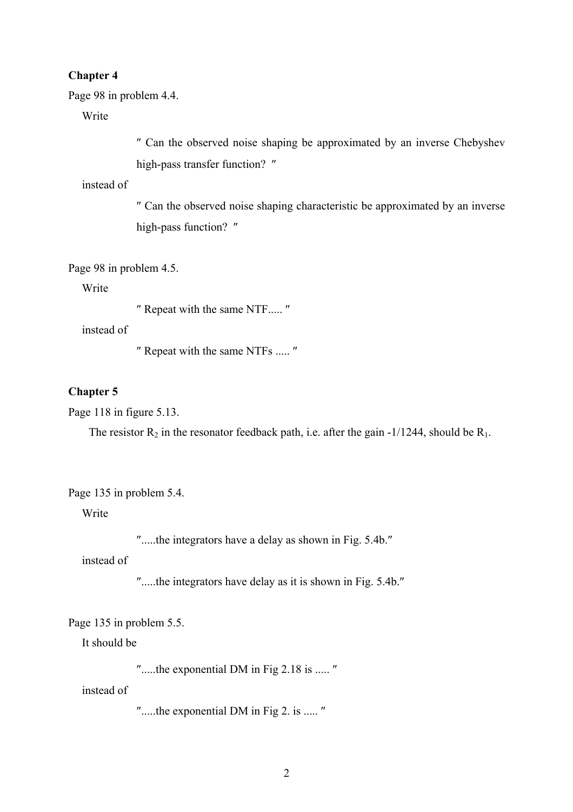#### **Chapter 4**

Page 98 in problem 4.4.

Write

″ Can the observed noise shaping be approximated by an inverse Chebyshev high-pass transfer function? "

instead of

″ Can the observed noise shaping characteristic be approximated by an inverse high-pass function? "

### Page 98 in problem 4.5.

Write

″ Repeat with the same NTF..... ″

instead of

″ Repeat with the same NTFs ..... ″

#### **Chapter 5**

Page 118 in figure 5.13.

The resistor  $R_2$  in the resonator feedback path, i.e. after the gain -1/1244, should be  $R_1$ .

Page 135 in problem 5.4.

Write

″.....the integrators have a delay as shown in Fig. 5.4b.″

instead of

″.....the integrators have delay as it is shown in Fig. 5.4b.″

#### Page 135 in problem 5.5.

It should be

″.....the exponential DM in Fig 2.18 is ..... ″

instead of

″.....the exponential DM in Fig 2. is ..... ″